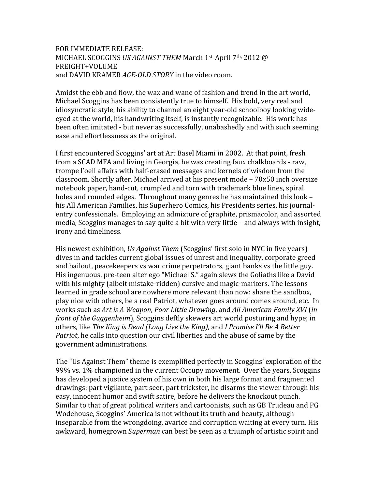## FOR IMMEDIATE RELEASE: MICHAEL SCOGGINS *US AGAINST THEM* March 1st‐April 7th, 2012 @ FREIGHT+VOLUME and DAVID KRAMER *AGE-OLD STORY* in the video room.

Amidst the ebb and flow, the wax and wane of fashion and trend in the art world, Michael Scoggins has been consistently true to himself. His bold, very real and idiosyncratic style, his ability to channel an eight year‐old schoolboy looking wide‐ eyed at the world, his handwriting itself, is instantly recognizable. His work has been often imitated ‐ but never as successfully, unabashedly and with such seeming ease and effortlessness as the original.

I first encountered Scoggins' art at Art Basel Miami in 2002. At that point, fresh from a SCAD MFA and living in Georgia, he was creating faux chalkboards ‐ raw, trompe l'oeil affairs with half‐erased messages and kernels of wisdom from the classroom. Shortly after, Michael arrived at his present mode – 70x50 inch oversize notebook paper, hand‐cut, crumpled and torn with trademark blue lines, spiral holes and rounded edges. Throughout many genres he has maintained this look – his All American Families, his Superhero Comics, his Presidents series, his journal‐ entry confessionals. Employing an admixture of graphite, prismacolor, and assorted media, Scoggins manages to say quite a bit with very little – and always with insight, irony and timeliness.

His newest exhibition, *Us Against Them* (Scoggins' first solo in NYC in five years) dives in and tackles current global issues of unrest and inequality, corporate greed and bailout, peacekeepers vs war crime perpetrators, giant banks vs the little guy. His ingenuous, pre‐teen alter ego "Michael S." again slews the Goliaths like a David with his mighty (albeit mistake-ridden) cursive and magic-markers. The lessons learned in grade school are nowhere more relevant than now: share the sandbox, play nice with others, be a real Patriot, whatever goes around comes around, etc. In works such as *Art is A Weapon, Poor Little Drawing*, and *All American Family XVI* (*in front of the Guggenheim*), Scoggins deftly skewers art world posturing and hype; in others, like *The King is Dead (Long Live the King),* and *I Promise I'll Be A Better Patriot*, he calls into question our civil liberties and the abuse of same by the government administrations.

The "Us Against Them" theme is exemplified perfectly in Scoggins' exploration of the 99% vs. 1% championed in the current Occupy movement. Over the years, Scoggins has developed a justice system of his own in both his large format and fragmented drawings: part vigilante, part seer, part trickster, he disarms the viewer through his easy, innocent humor and swift satire, before he delivers the knockout punch. Similar to that of great political writers and cartoonists, such as GB Trudeau and PG Wodehouse, Scoggins' America is not without its truth and beauty, although inseparable from the wrongdoing, avarice and corruption waiting at every turn. His awkward, homegrown *Superman* can best be seen as a triumph of artistic spirit and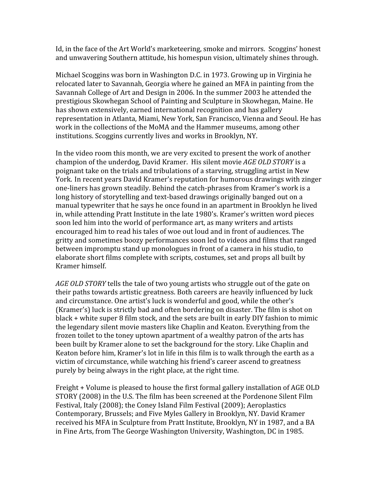Id, in the face of the Art World's marketeering, smoke and mirrors. Scoggins' honest and unwavering Southern attitude, his homespun vision, ultimately shines through.

Michael Scoggins was born in Washington D.C. in 1973. Growing up in Virginia he relocated later to Savannah, Georgia where he gained an MFA in painting from the Savannah College of Art and Design in 2006. In the summer 2003 he attended the prestigious Skowhegan School of Painting and Sculpture in Skowhegan, Maine. He has shown extensively, earned international recognition and has gallery representation in Atlanta, Miami, New York, San Francisco, Vienna and Seoul. He has work in the collections of the MoMA and the Hammer museums, among other institutions. Scoggins currently lives and works in Brooklyn, NY.

In the video room this month, we are very excited to present the work of another champion of the underdog, David Kramer. His silent movie *AGE OLD STORY* is a poignant take on the trials and tribulations of a starving, struggling artist in New York. In recent years David Kramer's reputation for humorous drawings with zinger one‐liners has grown steadily. Behind the catch‐phrases from Kramer's work is a long history of storytelling and text‐based drawings originally banged out on a manual typewriter that he says he once found in an apartment in Brooklyn he lived in, while attending Pratt Institute in the late 1980's. Kramer's written word pieces soon led him into the world of performance art, as many writers and artists encouraged him to read his tales of woe out loud and in front of audiences. The gritty and sometimes boozy performances soon led to videos and films that ranged between impromptu stand up monologues in front of a camera in his studio, to elaborate short films complete with scripts, costumes, set and props all built by Kramer himself.

*AGE OLD STORY* tells the tale of two young artists who struggle out of the gate on their paths towards artistic greatness. Both careers are heavily influenced by luck and circumstance. One artist's luck is wonderful and good, while the other's (Kramer's) luck is strictly bad and often bordering on disaster. The film is shot on black + white super 8 film stock, and the sets are built in early DIY fashion to mimic the legendary silent movie masters like Chaplin and Keaton. Everything from the frozen toilet to the toney uptown apartment of a wealthy patron of the arts has been built by Kramer alone to set the background for the story. Like Chaplin and Keaton before him, Kramer's lot in life in this film is to walk through the earth as a victim of circumstance, while watching his friend's career ascend to greatness purely by being always in the right place, at the right time.

Freight + Volume is pleased to house the first formal gallery installation of AGE OLD STORY (2008) in the U.S. The film has been screened at the Pordenone Silent Film Festival, Italy (2008); the Coney Island Film Festival (2009); Aeroplastics Contemporary, Brussels; and Five Myles Gallery in Brooklyn, NY. David Kramer received his MFA in Sculpture from Pratt Institute, Brooklyn, NY in 1987, and a BA in Fine Arts, from The George Washington University, Washington, DC in 1985.